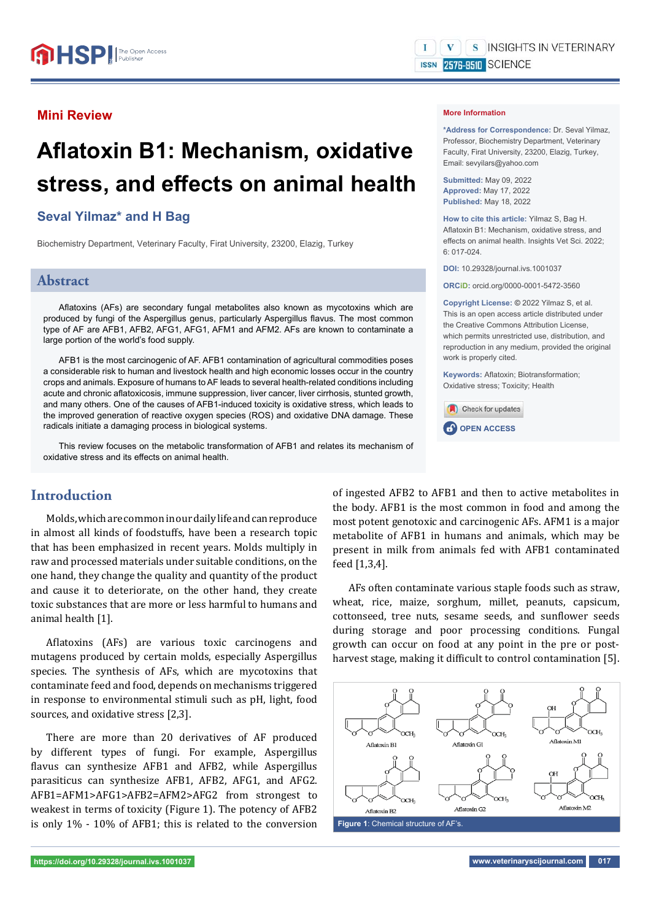# **Mini Review**

# **Afl atoxin B1: Mechanism, oxidative**  stress, and effects on animal health

# **Seval Yilmaz\* and H Bag**

Biochemistry Department, Veterinary Faculty, Firat University, 23200, Elazig, Turkey

## **Abstract**

Aflatoxins (AFs) are secondary fungal metabolites also known as mycotoxins which are produced by fungi of the Aspergillus genus, particularly Aspergillus flavus. The most common type of AF are AFB1, AFB2, AFG1, AFG1, AFM1 and AFM2. AFs are known to contaminate a large portion of the world's food supply.

AFB1 is the most carcinogenic of AF. AFB1 contamination of agricultural commodities poses a considerable risk to human and livestock health and high economic losses occur in the country crops and animals. Exposure of humans to AF leads to several health-related conditions including acute and chronic aflatoxicosis, immune suppression, liver cancer, liver cirrhosis, stunted growth, and many others. One of the causes of AFB1-induced toxicity is oxidative stress, which leads to the improved generation of reactive oxygen species (ROS) and oxidative DNA damage. These radicals initiate a damaging process in biological systems.

This review focuses on the metabolic transformation of AFB1 and relates its mechanism of oxidative stress and its effects on animal health.

# **Introduction**

Molds, which are common in our daily life and can reproduce in almost all kinds of foodstuffs, have been a research topic that has been emphasized in recent years. Molds multiply in raw and processed materials under suitable conditions, on the one hand, they change the quality and quantity of the product and cause it to deteriorate, on the other hand, they create toxic substances that are more or less harmful to humans and animal health [1].

Aflatoxins (AFs) are various toxic carcinogens and mutagens produced by certain molds, especially Aspergillus species. The synthesis of AFs, which are mycotoxins that contaminate feed and food, depends on mechanisms triggered in response to environmental stimuli such as pH, light, food sources, and oxidative stress [2,3].

There are more than 20 derivatives of AF produced by different types of fungi. For example, Aspergillus flavus can synthesize AFB1 and AFB2, while Aspergillus parasiticus can synthesize AFB1, AFB2, AFG1, and AFG2. AFB1=AFM1>AFG1>AFB2=AFM2>AFG2 from strongest to weakest in terms of toxicity (Figure 1). The potency of AFB2 is only 1% - 10% of AFB1; this is related to the conversion

#### **More Information**

**\*Address for Correspondence:** Dr. Seval Yilmaz, Professor, Biochemistry Department, Veterinary Faculty, Firat University, 23200, Elazig, Turkey, Email: sevyilars@yahoo.com

**Submitted:** May 09, 2022 **Approved:** May 17, 2022 **Published:** May 18, 2022

**How to cite this article:** Yilmaz S, Bag H. Aflatoxin B1: Mechanism, oxidative stress, and effects on animal health. Insights Vet Sci. 2022; 6: 017-024.

**DOI:** 10.29328/journal.ivs.1001037

**ORCiD:** orcid.org/0000-0001-5472-3560

**Copyright License: ©** 2022 Yilmaz S, et al. This is an open access article distributed under the Creative Commons Attribution License, which permits unrestricted use, distribution, and reproduction in any medium, provided the original work is properly cited.

**Keywords: Aflatoxin: Biotransformation:** Oxidative stress; Toxicity; Health



of ingested AFB2 to AFB1 and then to active metabolites in the body. AFB1 is the most common in food and among the most potent genotoxic and carcinogenic AFs. AFM1 is a major metabolite of AFB1 in humans and animals, which may be present in milk from animals fed with AFB1 contaminated feed [1,3,4].

AFs often contaminate various staple foods such as straw, wheat, rice, maize, sorghum, millet, peanuts, capsicum, cottonseed, tree nuts, sesame seeds, and sunflower seeds during storage and poor processing conditions. Fungal growth can occur on food at any point in the pre or postharvest stage, making it difficult to control contamination [5].

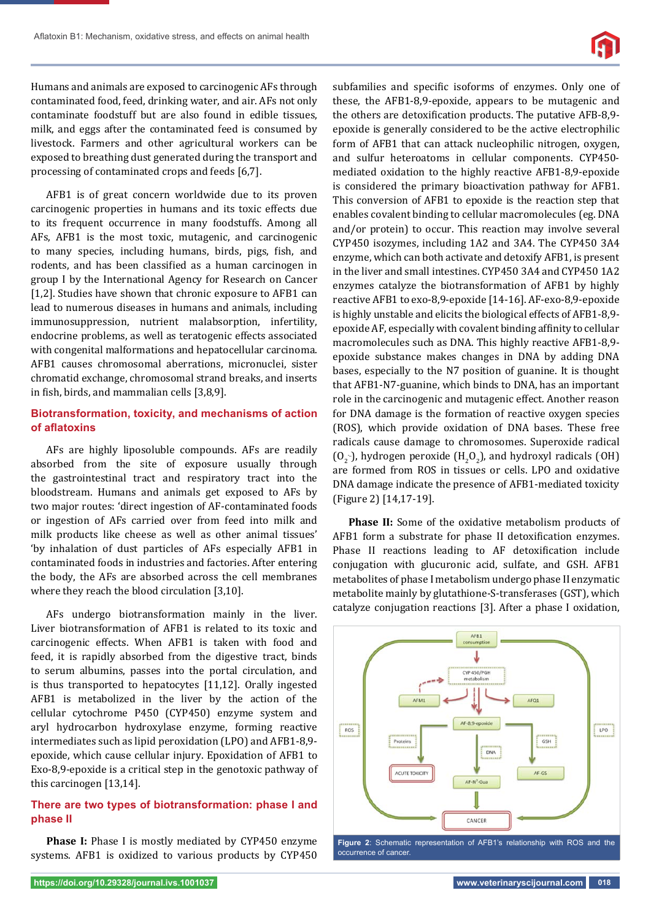

Humans and animals are exposed to carcinogenic AFs through contaminated food, feed, drinking water, and air. AFs not only contaminate foodstuff but are also found in edible tissues, milk, and eggs after the contaminated feed is consumed by livestock. Farmers and other agricultural workers can be exposed to breathing dust generated during the transport and processing of contaminated crops and feeds [6,7].

AFB1 is of great concern worldwide due to its proven carcinogenic properties in humans and its toxic effects due to its frequent occurrence in many foodstuffs. Among all AFs, AFB1 is the most toxic, mutagenic, and carcinogenic to many species, including humans, birds, pigs, fish, and rodents, and has been classified as a human carcinogen in group I by the International Agency for Research on Cancer [1,2]. Studies have shown that chronic exposure to AFB1 can lead to numerous diseases in humans and animals, including immunosuppression, nutrient malabsorption, infertility, endocrine problems, as well as teratogenic effects associated with congenital malformations and hepatocellular carcinoma. AFB1 causes chromosomal aberrations, micronuclei, sister chromatid exchange, chromosomal strand breaks, and inserts in fish, birds, and mammalian cells [3,8,9].

## **Biotransformation, toxicity, and mechanisms of action of afl atoxins**

AFs are highly liposoluble compounds. AFs are readily absorbed from the site of exposure usually through the gastrointestinal tract and respiratory tract into the bloodstream. Humans and animals get exposed to AFs by two major routes: 'direct ingestion of AF-contaminated foods or ingestion of AFs carried over from feed into milk and milk products like cheese as well as other animal tissues' 'by inhalation of dust particles of AFs especially AFB1 in contaminated foods in industries and factories. After entering the body, the AFs are absorbed across the cell membranes where they reach the blood circulation [3,10].

AFs undergo biotransformation mainly in the liver. Liver biotransformation of AFB1 is related to its toxic and carcinogenic effects. When AFB1 is taken with food and feed, it is rapidly absorbed from the digestive tract, binds to serum albumins, passes into the portal circulation, and is thus transported to hepatocytes [11,12]. Orally ingested AFB1 is metabolized in the liver by the action of the cellular cytochrome P450 (CYP450) enzyme system and aryl hydrocarbon hydroxylase enzyme, forming reactive intermediates such as lipid peroxidation (LPO) and AFB1-8,9 epoxide, which cause cellular injury. Epoxidation of AFB1 to Exo-8,9-epoxide is a critical step in the genotoxic pathway of this carcinogen [13,14].

## **There are two types of biotransformation: phase I and phase II**

**Phase I:** Phase I is mostly mediated by CYP450 enzyme systems. AFB1 is oxidized to various products by CYP450

subfamilies and specific isoforms of enzymes. Only one of these, the AFB1-8,9-epoxide, appears to be mutagenic and the others are detoxification products. The putative AFB-8,9epoxide is generally considered to be the active electrophilic form of AFB1 that can attack nucleophilic nitrogen, oxygen, and sulfur heteroatoms in cellular components. CYP450 mediated oxidation to the highly reactive AFB1-8,9-epoxide is considered the primary bioactivation pathway for AFB1. This conversion of AFB1 to epoxide is the reaction step that enables covalent binding to cellular macromolecules (eg. DNA and/or protein) to occur. This reaction may involve several CYP450 isozymes, including 1A2 and 3A4. The CYP450 3A4 enzyme, which can both activate and detoxify AFB1, is present in the liver and small intestines. CYP450 3A4 and CYP450 1A2 enzymes catalyze the biotransformation of AFB1 by highly reactive AFB1 to exo-8,9-epoxide [14-16]. AF-exo-8,9-epoxide is highly unstable and elicits the biological effects of AFB1-8,9 epoxide AF, especially with covalent binding affinity to cellular macromolecules such as DNA. This highly reactive AFB1-8,9 epoxide substance makes changes in DNA by adding DNA bases, especially to the N7 position of guanine. It is thought that AFB1-N7-guanine, which binds to DNA, has an important role in the carcinogenic and mutagenic effect. Another reason for DNA damage is the formation of reactive oxygen species (ROS), which provide oxidation of DNA bases. These free radicals cause damage to chromosomes. Superoxide radical  $(0<sub>2</sub>$ -), hydrogen peroxide  $(H<sub>2</sub>0<sub>2</sub>)$ , and hydroxyl radicals (OH) are formed from ROS in tissues or cells. LPO and oxidative DNA damage indicate the presence of AFB1-mediated toxicity (Figure 2) [14,17-19].

**Phase II:** Some of the oxidative metabolism products of AFB1 form a substrate for phase II detoxification enzymes. Phase II reactions leading to AF detoxification include conjugation with glucuronic acid, sulfate, and GSH. AFB1 metabolites of phase I metabolism undergo phase II enzymatic metabolite mainly by glutathione-S-transferases (GST), which catalyze conjugation reactions [3]. After a phase I oxidation,

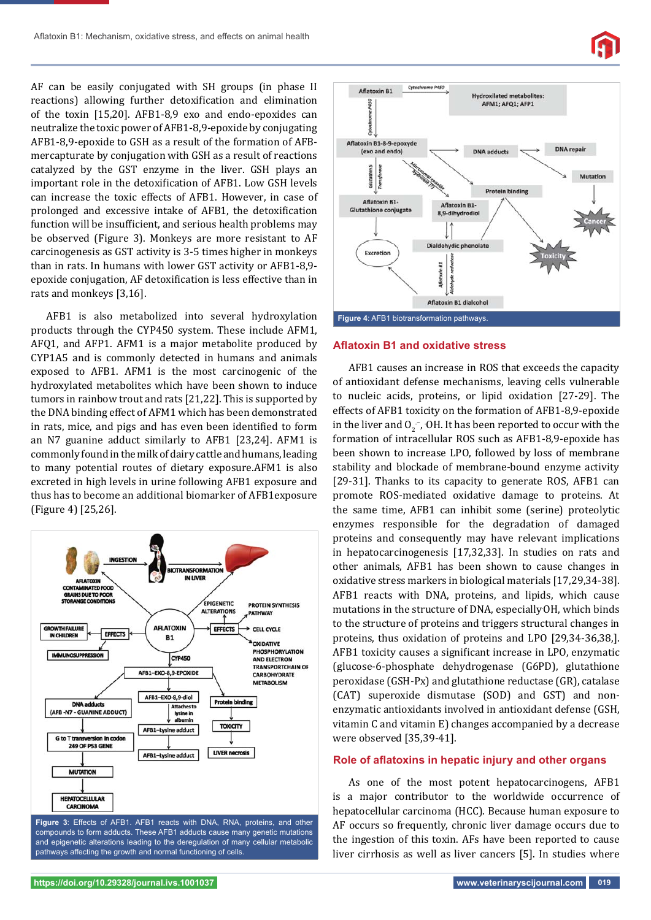AF can be easily conjugated with SH groups (in phase II reactions) allowing further detoxification and elimination of the toxin [15,20]. AFB1-8,9 exo and endo-epoxides can neutralize the toxic power of AFB1-8,9-epoxide by conjugating AFB1-8,9-epoxide to GSH as a result of the formation of AFBmercapturate by conjugation with GSH as a result of reactions catalyzed by the GST enzyme in the liver. GSH plays an important role in the detoxification of AFB1. Low GSH levels can increase the toxic effects of AFB1. However, in case of prolonged and excessive intake of AFB1, the detoxification function will be insufficient, and serious health problems may be observed (Figure 3). Monkeys are more resistant to AF carcinogenesis as GST activity is 3-5 times higher in monkeys than in rats. In humans with lower GST activity or AFB1-8,9 epoxide conjugation, AF detoxification is less effective than in rats and monkeys [3,16].

AFB1 is also metabolized into several hydroxylation products through the CYP450 system. These include AFM1, AFQ1, and AFP1. AFM1 is a major metabolite produced by CYP1A5 and is commonly detected in humans and animals exposed to AFB1. AFM1 is the most carcinogenic of the hydroxylated metabolites which have been shown to induce tumors in rainbow trout and rats [21,22]. This is supported by the DNA binding effect of AFM1 which has been demonstrated in rats, mice, and pigs and has even been identified to form an N7 guanine adduct similarly to AFB1 [23,24]. AFM1 is commonly found in the milk of dairy cattle and humans, leading to many potential routes of dietary exposure.AFM1 is also excreted in high levels in urine following AFB1 exposure and thus has to become an additional biomarker of AFB1exposure (Figure 4) [25,26].



Figure 3: Effects of AFB1. AFB1 reacts with DNA, RNA, proteins, and other compounds to form adducts. These AFB1 adducts cause many genetic mutations and epigenetic alterations leading to the deregulation of many cellular metabolic pathways affecting the growth and normal functioning of cells.



#### **Afl atoxin B1 and oxidative stress**

AFB1 causes an increase in ROS that exceeds the capacity of antioxidant defense mechanisms, leaving cells vulnerable to nucleic acids, proteins, or lipid oxidation [27-29]. The effects of AFB1 toxicity on the formation of AFB1-8,9-epoxide in the liver and  $0<sub>2</sub>^-$ , OH. It has been reported to occur with the formation of intracellular ROS such as AFB1-8,9-epoxide has been shown to increase LPO, followed by loss of membrane stability and blockade of membrane-bound enzyme activity [29-31]. Thanks to its capacity to generate ROS, AFB1 can promote ROS-mediated oxidative damage to proteins. At the same time, AFB1 can inhibit some (serine) proteolytic enzymes responsible for the degradation of damaged proteins and consequently may have relevant implications in hepatocarcinogenesis [17,32,33]. In studies on rats and other animals, AFB1 has been shown to cause changes in oxidative stress markers in biological materials [17,29,34-38]. AFB1 reacts with DNA, proteins, and lipids, which cause mutations in the structure of DNA, especially OH, which binds to the structure of proteins and triggers structural changes in proteins, thus oxidation of proteins and LPO [29,34-36,38,]. AFB1 toxicity causes a significant increase in LPO, enzymatic (glucose-6-phosphate dehydrogenase (G6PD), glutathione peroxidase (GSH-Px) and glutathione reductase (GR), catalase (CAT) superoxide dismutase (SOD) and GST) and nonenzymatic antioxidants involved in antioxidant defense (GSH, vitamin C and vitamin E) changes accompanied by a decrease were observed [35,39-41].

## Role of aflatoxins in hepatic injury and other organs

As one of the most potent hepatocarcinogens, AFB1 is a major contributor to the worldwide occurrence of hepatocellular carcinoma (HCC). Because human exposure to AF occurs so frequently, chronic liver damage occurs due to the ingestion of this toxin. AFs have been reported to cause liver cirrhosis as well as liver cancers [5]. In studies where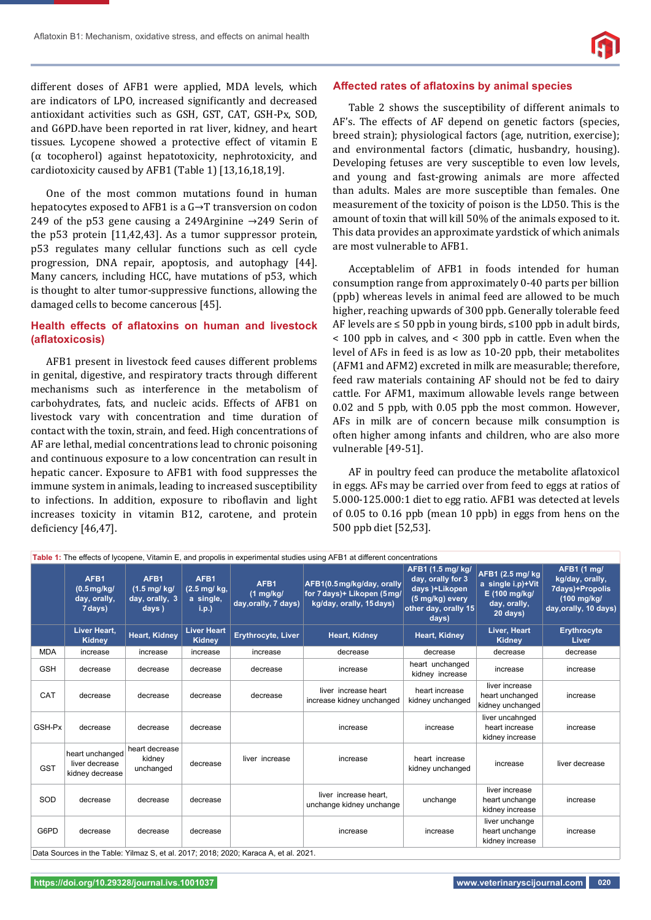

different doses of AFB1 were applied, MDA levels, which are indicators of LPO, increased significantly and decreased antioxidant activities such as GSH, GST, CAT, GSH-Px, SOD, and G6PD.have been reported in rat liver, kidney, and heart tissues. Lycopene showed a protective effect of vitamin E (α tocopherol) against hepatotoxicity, nephrotoxicity, and cardiotoxicity caused by AFB1 (Table 1) [13,16,18,19].

One of the most common mutations found in human hepatocytes exposed to AFB1 is a G→T transversion on codon 249 of the p53 gene causing a 249Arginine  $\rightarrow$ 249 Serin of the p53 protein [11,42,43]. As a tumor suppressor protein, p53 regulates many cellular functions such as cell cycle progression, DNA repair, apoptosis, and autophagy [44]. Many cancers, including HCC, have mutations of p53, which is thought to alter tumor-suppressive functions, allowing the damaged cells to become cancerous [45].

## **Health effects of aflatoxins on human and livestock (afl atoxicosis)**

AFB1 present in livestock feed causes different problems in genital, digestive, and respiratory tracts through different mechanisms such as interference in the metabolism of carbohydrates, fats, and nucleic acids. Effects of AFB1 on livestock vary with concentration and time duration of contact with the toxin, strain, and feed. High concentrations of AF are lethal, medial concentrations lead to chronic poisoning and continuous exposure to a low concentration can result in hepatic cancer. Exposure to AFB1 with food suppresses the immune system in animals, leading to increased susceptibility to infections. In addition, exposure to riboflavin and light increases toxicity in vitamin B12, carotene, and protein deficiency [46,47].

#### Affected rates of aflatoxins by animal species

Table 2 shows the susceptibility of different animals to AF's. The effects of AF depend on genetic factors (species, breed strain); physiological factors (age, nutrition, exercise); and environmental factors (climatic, husbandry, housing). Developing fetuses are very susceptible to even low levels, and young and fast-growing animals are more affected than adults. Males are more susceptible than females. One measurement of the toxicity of poison is the LD50. This is the amount of toxin that will kill 50% of the animals exposed to it. This data provides an approximate yardstick of which animals are most vulnerable to AFB1.

Acceptablelim of AFB1 in foods intended for human consumption range from approximately 0-40 parts per billion (ppb) whereas levels in animal feed are allowed to be much higher, reaching upwards of 300 ppb. Generally tolerable feed AF levels are  $\leq 50$  ppb in young birds,  $\leq 100$  ppb in adult birds, < 100 ppb in calves, and < 300 ppb in cattle. Even when the level of AFs in feed is as low as 10-20 ppb, their metabolites (AFM1 and AFM2) excreted in milk are measurable; therefore, feed raw materials containing AF should not be fed to dairy cattle. For AFM1, maximum allowable levels range between 0.02 and 5 ppb, with 0.05 ppb the most common. However, AFs in milk are of concern because milk consumption is often higher among infants and children, who are also more vulnerable [49-51].

AF in poultry feed can produce the metabolite aflatoxicol in eggs. AFs may be carried over from feed to eggs at ratios of 5.000-125.000:1 diet to egg ratio. AFB1 was detected at levels of 0.05 to 0.16 ppb (mean 10 ppb) in eggs from hens on the 500 ppb diet [52,53].

| Table 1: The effects of lycopene, Vitamin E, and propolis in experimental studies using AFB1 at different concentrations |                                                         |                                                                   |                                            |                                                     |                                                                                      |                                                                                                              |                                                                                    |                                                                                                     |
|--------------------------------------------------------------------------------------------------------------------------|---------------------------------------------------------|-------------------------------------------------------------------|--------------------------------------------|-----------------------------------------------------|--------------------------------------------------------------------------------------|--------------------------------------------------------------------------------------------------------------|------------------------------------------------------------------------------------|-----------------------------------------------------------------------------------------------------|
|                                                                                                                          | AFB1<br>$(0.5 \text{mg/kg})$<br>day, orally,<br>7 days) | AFB1<br>$(1.5 \text{ mg}/ \text{ kg})$<br>day, orally, 3<br>days) | AFB1<br>(2.5 mg/ kg,<br>a single,<br>i.p.) | AFB1<br>$(1 \text{ mg/kg})$<br>day, orally, 7 days) | AFB1(0.5mg/kg/day, orally<br>for 7 days)+ Likopen (5 mg/<br>kg/day, orally, 15 days) | AFB1 (1.5 mg/ kg/<br>day, orally for 3<br>days )+Likopen<br>(5 mg/kg) every<br>other day, orally 15<br>days) | AFB1 (2.5 mg/ kg<br>a single i.p)+Vit<br>E (100 mg/kg/<br>day, orally,<br>20 days) | AFB1 (1 mg/<br>kg/day, orally,<br>7days)+Propolis<br>$(100 \text{ mg/kg})$<br>day, orally, 10 days) |
|                                                                                                                          | Liver Heart,<br>Kidney                                  | <b>Heart, Kidney</b>                                              | <b>Liver Heart</b><br><b>Kidney</b>        | <b>Erythrocyte, Liver</b>                           | Heart, Kidney                                                                        | <b>Heart, Kidney</b>                                                                                         | Liver, Heart<br>Kidney                                                             | <b>Erythrocyte</b><br><b>Liver</b>                                                                  |
| <b>MDA</b>                                                                                                               | increase                                                | increase                                                          | increase                                   | increase                                            | decrease                                                                             | decrease                                                                                                     | decrease                                                                           | decrease                                                                                            |
| <b>GSH</b>                                                                                                               | decrease                                                | decrease                                                          | decrease                                   | decrease                                            | increase                                                                             | heart unchanged<br>kidney increase                                                                           | increase                                                                           | increase                                                                                            |
| CAT                                                                                                                      | decrease                                                | decrease                                                          | decrease                                   | decrease                                            | liver increase heart<br>increase kidney unchanged                                    | heart increase<br>kidney unchanged                                                                           | liver increase<br>heart unchanged<br>kidney unchanged                              | increase                                                                                            |
| GSH-Px                                                                                                                   | decrease                                                | decrease                                                          | decrease                                   |                                                     | increase                                                                             | increase                                                                                                     | liver uncahnged<br>heart increase<br>kidney increase                               | increase                                                                                            |
| <b>GST</b>                                                                                                               | heart unchanged<br>liver decrease<br>kidney decrease    | heart decrease<br>kidney<br>unchanged                             | decrease                                   | liver increase                                      | increase                                                                             | heart increase<br>kidney unchanged                                                                           | increase                                                                           | liver decrease                                                                                      |
| SOD                                                                                                                      | decrease                                                | decrease                                                          | decrease                                   |                                                     | liver increase heart,<br>unchange kidney unchange                                    | unchange                                                                                                     | liver increase<br>heart unchange<br>kidney increase                                | increase                                                                                            |
| G6PD                                                                                                                     | decrease                                                | decrease                                                          | decrease                                   |                                                     | increase                                                                             | increase                                                                                                     | liver unchange<br>heart unchange<br>kidney increase                                | increase                                                                                            |
| Data Sources in the Table: Yilmaz S, et al. 2017; 2018; 2020; Karaca A, et al. 2021.                                     |                                                         |                                                                   |                                            |                                                     |                                                                                      |                                                                                                              |                                                                                    |                                                                                                     |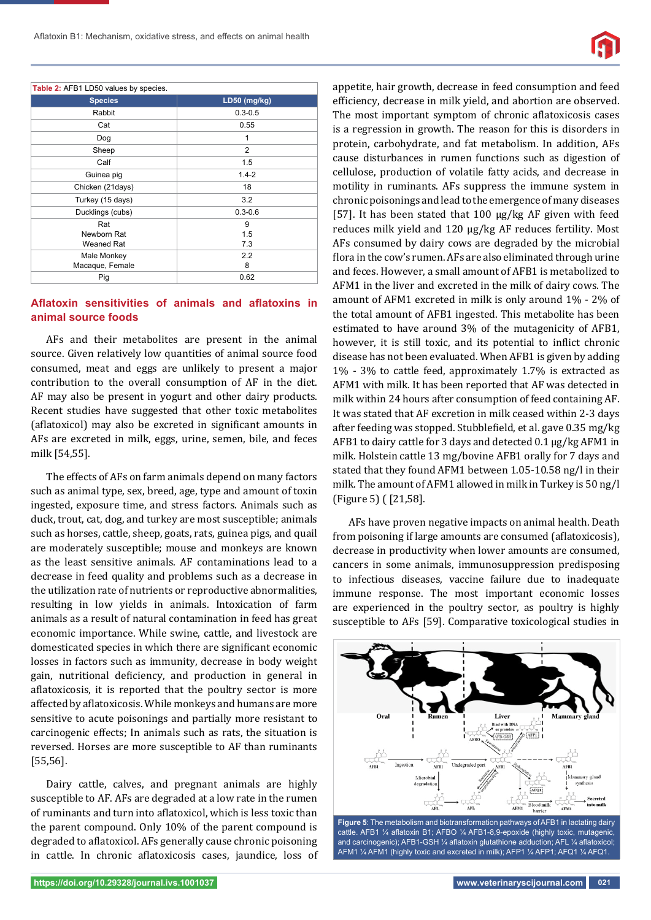

| Table 2: AFB1 LD50 values by species. |                |  |  |  |
|---------------------------------------|----------------|--|--|--|
| <b>Species</b>                        | LD50 (mg/kg)   |  |  |  |
| Rabbit                                | $0.3 - 0.5$    |  |  |  |
| Cat                                   | 0.55           |  |  |  |
| Dog                                   | 1              |  |  |  |
| Sheep                                 | $\overline{2}$ |  |  |  |
| Calf                                  | 1.5            |  |  |  |
| Guinea pig                            | $1.4 - 2$      |  |  |  |
| Chicken (21days)                      | 18             |  |  |  |
| Turkey (15 days)                      | 3.2            |  |  |  |
| Ducklings (cubs)                      | $0.3 - 0.6$    |  |  |  |
| Rat                                   | 9              |  |  |  |
| Newborn Rat                           | 1.5            |  |  |  |
| Weaned Rat                            | 7.3            |  |  |  |
| Male Monkey                           | 2.2            |  |  |  |
| Macaque, Female                       | 8              |  |  |  |
| Pig                                   | 0.62           |  |  |  |

## Aflatoxin sensitivities of animals and aflatoxins in **animal source foods**

AFs and their metabolites are present in the animal source. Given relatively low quantities of animal source food consumed, meat and eggs are unlikely to present a major contribution to the overall consumption of AF in the diet. AF may also be present in yogurt and other dairy products. Recent studies have suggested that other toxic metabolites (aflatoxicol) may also be excreted in significant amounts in AFs are excreted in milk, eggs, urine, semen, bile, and feces milk [54,55].

The effects of AFs on farm animals depend on many factors such as animal type, sex, breed, age, type and amount of toxin ingested, exposure time, and stress factors. Animals such as duck, trout, cat, dog, and turkey are most susceptible; animals such as horses, cattle, sheep, goats, rats, guinea pigs, and quail are moderately susceptible; mouse and monkeys are known as the least sensitive animals. AF contaminations lead to a decrease in feed quality and problems such as a decrease in the utilization rate of nutrients or reproductive abnormalities, resulting in low yields in animals. Intoxication of farm animals as a result of natural contamination in feed has great economic importance. While swine, cattle, and livestock are domesticated species in which there are significant economic losses in factors such as immunity, decrease in body weight gain, nutritional deficiency, and production in general in aflatoxicosis, it is reported that the poultry sector is more affected by aflatoxicosis. While monkeys and humans are more sensitive to acute poisonings and partially more resistant to carcinogenic effects; In animals such as rats, the situation is reversed. Horses are more susceptible to AF than ruminants [55,56].

Dairy cattle, calves, and pregnant animals are highly susceptible to AF. AFs are degraded at a low rate in the rumen of ruminants and turn into aflatoxicol, which is less toxic than the parent compound. Only 10% of the parent compound is degraded to aflatoxicol. AFs generally cause chronic poisoning in cattle. In chronic aflatoxicosis cases, jaundice, loss of appetite, hair growth, decrease in feed consumption and feed efficiency, decrease in milk yield, and abortion are observed. The most important symptom of chronic aflatoxicosis cases is a regression in growth. The reason for this is disorders in protein, carbohydrate, and fat metabolism. In addition, AFs cause disturbances in rumen functions such as digestion of cellulose, production of volatile fatty acids, and decrease in motility in ruminants. AFs suppress the immune system in chronic poisonings and lead to the emergence of many diseases [57]. It has been stated that 100 μg/kg AF given with feed reduces milk yield and 120 μg/kg AF reduces fertility. Most AFs consumed by dairy cows are degraded by the microbial flora in the cow's rumen. AFs are also eliminated through urine and feces. However, a small amount of AFB1 is metabolized to AFM1 in the liver and excreted in the milk of dairy cows. The amount of AFM1 excreted in milk is only around 1% - 2% of the total amount of AFB1 ingested. This metabolite has been estimated to have around 3% of the mutagenicity of AFB1, however, it is still toxic, and its potential to inflict chronic disease has not been evaluated. When AFB1 is given by adding 1% - 3% to cattle feed, approximately 1.7% is extracted as AFM1 with milk. It has been reported that AF was detected in milk within 24 hours after consumption of feed containing AF. It was stated that AF excretion in milk ceased within 2-3 days after feeding was stopped. Stubblefield, et al. gave 0.35 mg/kg AFB1 to dairy cattle for 3 days and detected 0.1 μg/kg AFM1 in milk. Holstein cattle 13 mg/bovine AFB1 orally for 7 days and stated that they found AFM1 between 1.05-10.58 ng/l in their milk. The amount of AFM1 allowed in milk in Turkey is 50 ng/l (Figure 5) ( [21,58].

AFs have proven negative impacts on animal health. Death from poisoning if large amounts are consumed (aflatoxicosis), decrease in productivity when lower amounts are consumed, cancers in some animals, immunosuppression predisposing to infectious diseases, vaccine failure due to inadequate immune response. The most important economic losses are experienced in the poultry sector, as poultry is highly susceptible to AFs [59]. Comparative toxicological studies in



**Figure 5**: The metabolism and biotransformation pathways of AFB1 in lactating dairy cattle. AFB1 1/4 aflatoxin B1; AFBO 1/4 AFB1-8,9-epoxide (highly toxic, mutagenic and carcinogenic); AFB1-GSH 1/4 aflatoxin glutathione adduction; AFL 1/4 aflatoxicol AFM1 ¼ AFM1 (highly toxic and excreted in milk); AFP1 ¼ AFP1; AFQ1 ¼ AFQ1.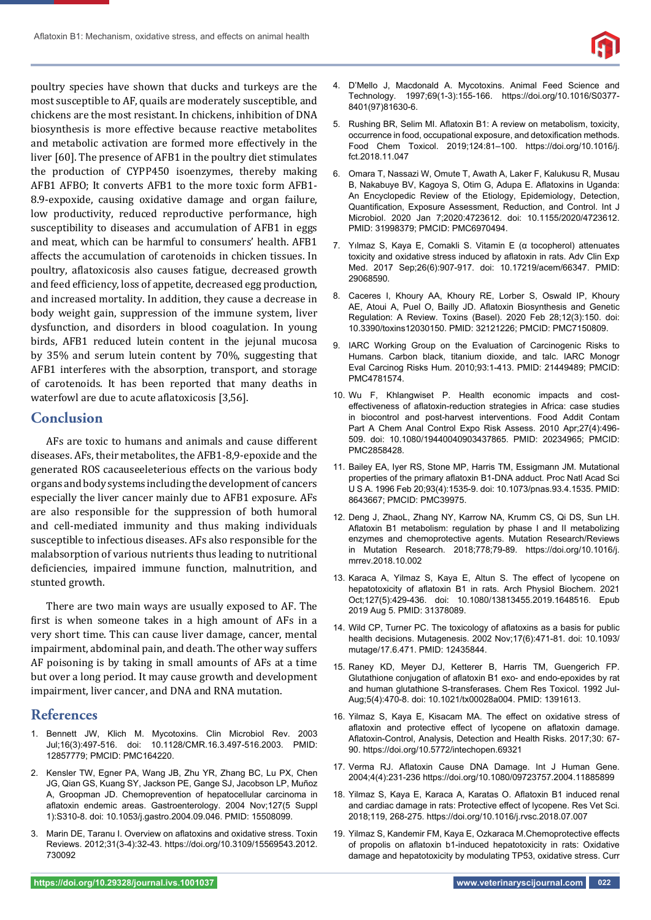

poultry species have shown that ducks and turkeys are the most susceptible to AF, quails are moderately susceptible, and chickens are the most resistant. In chickens, inhibition of DNA biosynthesis is more effective because reactive metabolites and metabolic activation are formed more effectively in the liver [60]. The presence of AFB1 in the poultry diet stimulates the production of CYPP450 isoenzymes, thereby making AFB1 AFBO; It converts AFB1 to the more toxic form AFB1- 8.9-expoxide, causing oxidative damage and organ failure, low productivity, reduced reproductive performance, high susceptibility to diseases and accumulation of AFB1 in eggs and meat, which can be harmful to consumers' health. AFB1 affects the accumulation of carotenoids in chicken tissues. In poultry, aflatoxicosis also causes fatigue, decreased growth and feed efficiency, loss of appetite, decreased egg production, and increased mortality. In addition, they cause a decrease in body weight gain, suppression of the immune system, liver dysfunction, and disorders in blood coagulation. In young birds, AFB1 reduced lutein content in the jejunal mucosa by 35% and serum lutein content by 70%, suggesting that AFB1 interferes with the absorption, transport, and storage of carotenoids. It has been reported that many deaths in waterfowl are due to acute aflatoxicosis [3,56].

# **Conclusion**

AFs are toxic to humans and animals and cause different diseases. AFs, their metabolites, the AFB1-8,9-epoxide and the generated ROS cacauseeleterious effects on the various body organs and body systems including the development of cancers especially the liver cancer mainly due to AFB1 exposure. AFs are also responsible for the suppression of both humoral and cell-mediated immunity and thus making individuals susceptible to infectious diseases. AFs also responsible for the malabsorption of various nutrients thus leading to nutritional deficiencies, impaired immune function, malnutrition, and stunted growth.

There are two main ways are usually exposed to AF. The first is when someone takes in a high amount of AFs in a very short time. This can cause liver damage, cancer, mental impairment, abdominal pain, and death. The other way suffers AF poisoning is by taking in small amounts of AFs at a time but over a long period. It may cause growth and development impairment, liver cancer, and DNA and RNA mutation.

## **References**

- 1. Bennett JW, Klich M. Mycotoxins. Clin Microbiol Rev. 2003 Jul;16(3):497-516. doi: 10.1128/CMR.16.3.497-516.2003. PMID: 12857779; PMCID: PMC164220.
- 2. Kensler TW, Egner PA, Wang JB, Zhu YR, Zhang BC, Lu PX, Chen JG, Qian GS, Kuang SY, Jackson PE, Gange SJ, Jacobson LP, Muñoz A, Groopman JD. Chemoprevention of hepatocellular carcinoma in aflatoxin endemic areas. Gastroenterology. 2004 Nov;127(5 Suppl 1):S310-8. doi: 10.1053/j.gastro.2004.09.046. PMID: 15508099.
- 3. Marin DE, Taranu I. Overview on aflatoxins and oxidative stress. Toxin Reviews. 2012;31(3-4):32-43. https://doi.org/10.3109/15569543.2012. 730092
- 4. D'Mello J, Macdonald A. Mycotoxins. Animal Feed Science and Technology. 1997;69(1-3):155-166. https://doi.org/10.1016/S0377- 8401(97)81630-6.
- 5. Rushing BR, Selim MI. Aflatoxin B1: A review on metabolism, toxicity, occurrence in food, occupational exposure, and detoxification methods. Food Chem Toxicol. 2019;124:81–100. https://doi.org/10.1016/j. fct.2018.11.047
- 6. Omara T, Nassazi W, Omute T, Awath A, Laker F, Kalukusu R, Musau B, Nakabuye BV, Kagoya S, Otim G, Adupa E. Aflatoxins in Uganda: An Encyclopedic Review of the Etiology, Epidemiology, Detection, Quantification, Exposure Assessment, Reduction, and Control. Int J Microbiol. 2020 Jan 7;2020:4723612. doi: 10.1155/2020/4723612. PMID: 31998379; PMCID: PMC6970494.
- 7. Yılmaz S, Kaya E, Comakli S. Vitamin E (α tocopherol) attenuates toxicity and oxidative stress induced by aflatoxin in rats. Adv Clin Exp Med. 2017 Sep;26(6):907-917. doi: 10.17219/acem/66347. PMID: 29068590.
- 8. Caceres I, Khoury AA, Khoury RE, Lorber S, Oswald IP, Khoury AE, Atoui A, Puel O, Bailly JD. Aflatoxin Biosynthesis and Genetic Regulation: A Review. Toxins (Basel). 2020 Feb 28;12(3):150. doi: 10.3390/toxins12030150. PMID: 32121226; PMCID: PMC7150809.
- 9. IARC Working Group on the Evaluation of Carcinogenic Risks to Humans. Carbon black, titanium dioxide, and talc. IARC Monogr Eval Carcinog Risks Hum. 2010;93:1-413. PMID: 21449489; PMCID: PMC4781574.
- 10. Wu F, Khlangwiset P. Health economic impacts and costeffectiveness of aflatoxin-reduction strategies in Africa: case studies in biocontrol and post-harvest interventions. Food Addit Contam Part A Chem Anal Control Expo Risk Assess. 2010 Apr;27(4):496- 509. doi: 10.1080/19440040903437865. PMID: 20234965; PMCID: PMC2858428.
- 11. Bailey EA, Iyer RS, Stone MP, Harris TM, Essigmann JM. Mutational properties of the primary aflatoxin B1-DNA adduct. Proc Natl Acad Sci U S A. 1996 Feb 20;93(4):1535-9. doi: 10.1073/pnas.93.4.1535. PMID: 8643667; PMCID: PMC39975.
- 12. Deng J, ZhaoL, Zhang NY, Karrow NA, Krumm CS, Qi DS, Sun LH. Aflatoxin B1 metabolism: regulation by phase I and II metabolizing enzymes and chemoprotective agents. Mutation Research/Reviews in Mutation Research. 2018;778;79-89. https://doi.org/10.1016/j. mrrev.2018.10.002
- 13. Karaca A, Yilmaz S, Kaya E, Altun S. The effect of lycopene on hepatotoxicity of aflatoxin B1 in rats. Arch Physiol Biochem. 2021 Oct;127(5):429-436. doi: 10.1080/13813455.2019.1648516. Epub 2019 Aug 5. PMID: 31378089.
- 14. Wild CP, Turner PC. The toxicology of aflatoxins as a basis for public health decisions. Mutagenesis. 2002 Nov;17(6):471-81. doi: 10.1093/ mutage/17.6.471. PMID: 12435844.
- 15. Raney KD, Meyer DJ, Ketterer B, Harris TM, Guengerich FP. Glutathione conjugation of aflatoxin B1 exo- and endo-epoxides by rat and human glutathione S-transferases. Chem Res Toxicol. 1992 Jul-Aug;5(4):470-8. doi: 10.1021/tx00028a004. PMID: 1391613.
- 16. Yilmaz S, Kaya E, Kisacam MA. The effect on oxidative stress of aflatoxin and protective effect of lycopene on aflatoxin damage. Aflatoxin-Control, Analysis, Detection and Health Risks. 2017;30: 67-90. https://doi.org/10.5772/intechopen.69321
- 17. Verma RJ. Aflatoxin Cause DNA Damage. Int J Human Gene. 2004;4(4):231-236 https://doi.org/10.1080/09723757.2004.11885899
- 18. Yilmaz S, Kaya E, Karaca A, Karatas O. Aflatoxin B1 induced renal and cardiac damage in rats: Protective effect of lycopene. Res Vet Sci. 2018;119, 268-275. https://doi.org/10.1016/j.rvsc.2018.07.007
- 19. Yilmaz S, Kandemir FM, Kaya E, Ozkaraca M.Chemoprotective effects of propolis on aflatoxin b1-induced hepatotoxicity in rats: Oxidative damage and hepatotoxicity by modulating TP53, oxidative stress. Curr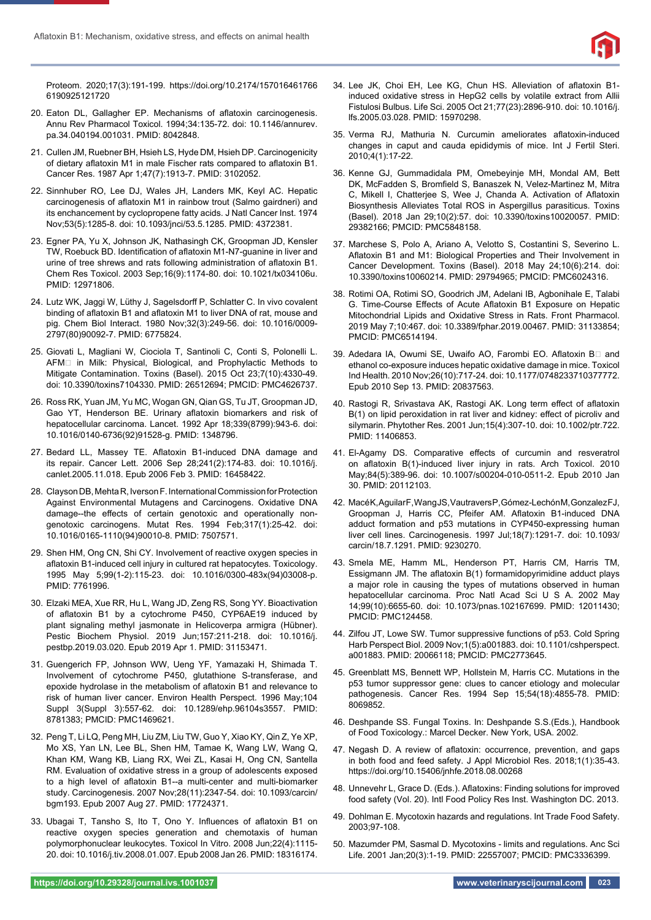

Proteom. 2020;17(3):191-199. https://doi.org/10.2174/157016461766 6190925121720

- 20. Eaton DL, Gallagher EP. Mechanisms of aflatoxin carcinogenesis. Annu Rev Pharmacol Toxicol. 1994;34:135-72. doi: 10.1146/annurev. pa.34.040194.001031. PMID: 8042848.
- 21. Cullen JM, Ruebner BH, Hsieh LS, Hyde DM, Hsieh DP. Carcinogenicity of dietary aflatoxin M1 in male Fischer rats compared to aflatoxin B1. Cancer Res. 1987 Apr 1;47(7):1913-7. PMID: 3102052.
- 22. Sinnhuber RO, Lee DJ, Wales JH, Landers MK, Keyl AC. Hepatic carcinogenesis of aflatoxin M1 in rainbow trout (Salmo gairdneri) and its enchancement by cyclopropene fatty acids. J Natl Cancer Inst. 1974 Nov;53(5):1285-8. doi: 10.1093/jnci/53.5.1285. PMID: 4372381.
- 23. Egner PA, Yu X, Johnson JK, Nathasingh CK, Groopman JD, Kensler TW, Roebuck BD. Identification of aflatoxin M1-N7-quanine in liver and urine of tree shrews and rats following administration of aflatoxin B1. Chem Res Toxicol. 2003 Sep;16(9):1174-80. doi: 10.1021/tx034106u. PMID: 12971806.
- 24. Lutz WK, Jaggi W, Lüthy J, Sagelsdorff P, Schlatter C. In vivo covalent binding of aflatoxin B1 and aflatoxin M1 to liver DNA of rat, mouse and pig. Chem Biol Interact. 1980 Nov;32(3):249-56. doi: 10.1016/0009- 2797(80)90092-7. PMID: 6775824.
- 25. Giovati L, Magliani W, Ciociola T, Santinoli C, Conti S, Polonelli L. AFM<sup>I</sup> in Milk: Physical, Biological, and Prophylactic Methods to Mitigate Contamination. Toxins (Basel). 2015 Oct 23;7(10):4330-49. doi: 10.3390/toxins7104330. PMID: 26512694; PMCID: PMC4626737.
- 26. Ross RK, Yuan JM, Yu MC, Wogan GN, Qian GS, Tu JT, Groopman JD, Gao YT, Henderson BE. Urinary aflatoxin biomarkers and risk of hepatocellular carcinoma. Lancet. 1992 Apr 18;339(8799):943-6. doi: 10.1016/0140-6736(92)91528-g. PMID: 1348796.
- 27. Bedard LL, Massey TE. Aflatoxin B1-induced DNA damage and its repair. Cancer Lett. 2006 Sep 28;241(2):174-83. doi: 10.1016/j. canlet.2005.11.018. Epub 2006 Feb 3. PMID: 16458422.
- 28. Clayson DB, Mehta R, Iverson F. International Commission for Protection Against Environmental Mutagens and Carcinogens. Oxidative DNA damage--the effects of certain genotoxic and operationally nongenotoxic carcinogens. Mutat Res. 1994 Feb;317(1):25-42. doi: 10.1016/0165-1110(94)90010-8. PMID: 7507571.
- 29. Shen HM, Ong CN, Shi CY. Involvement of reactive oxygen species in aflatoxin B1-induced cell injury in cultured rat hepatocytes. Toxicology. 1995 May 5;99(1-2):115-23. doi: 10.1016/0300-483x(94)03008-p. PMID: 7761996.
- 30. Elzaki MEA, Xue RR, Hu L, Wang JD, Zeng RS, Song YY. Bioactivation of aflatoxin B1 by a cytochrome P450, CYP6AE19 induced by plant signaling methyl jasmonate in Helicoverpa armigra (Hübner). Pestic Biochem Physiol. 2019 Jun;157:211-218. doi: 10.1016/j. pestbp.2019.03.020. Epub 2019 Apr 1. PMID: 31153471.
- 31. Guengerich FP, Johnson WW, Ueng YF, Yamazaki H, Shimada T. Involvement of cytochrome P450, glutathione S-transferase, and epoxide hydrolase in the metabolism of aflatoxin B1 and relevance to risk of human liver cancer. Environ Health Perspect. 1996 May;104 Suppl 3(Suppl 3):557-62. doi: 10.1289/ehp.96104s3557. PMID: 8781383; PMCID: PMC1469621.
- 32. Peng T, Li LQ, Peng MH, Liu ZM, Liu TW, Guo Y, Xiao KY, Qin Z, Ye XP, Mo XS, Yan LN, Lee BL, Shen HM, Tamae K, Wang LW, Wang Q, Khan KM, Wang KB, Liang RX, Wei ZL, Kasai H, Ong CN, Santella RM. Evaluation of oxidative stress in a group of adolescents exposed to a high level of aflatoxin B1--a multi-center and multi-biomarker study. Carcinogenesis. 2007 Nov;28(11):2347-54. doi: 10.1093/carcin/ bgm193. Epub 2007 Aug 27. PMID: 17724371.
- 33. Ubagai T, Tansho S, Ito T, Ono Y. Influences of aflatoxin B1 on reactive oxygen species generation and chemotaxis of human polymorphonuclear leukocytes. Toxicol In Vitro. 2008 Jun;22(4):1115- 20. doi: 10.1016/j.tiv.2008.01.007. Epub 2008 Jan 26. PMID: 18316174.
- 34. Lee JK, Choi EH, Lee KG, Chun HS. Alleviation of aflatoxin B1induced oxidative stress in HepG2 cells by volatile extract from Allii Fistulosi Bulbus. Life Sci. 2005 Oct 21;77(23):2896-910. doi: 10.1016/j. lfs.2005.03.028. PMID: 15970298.
- 35. Verma RJ, Mathuria N. Curcumin ameliorates aflatoxin-induced changes in caput and cauda epididymis of mice. Int J Fertil Steri. 2010;4(1):17-22.
- 36. Kenne GJ, Gummadidala PM, Omebeyinje MH, Mondal AM, Bett DK, McFadden S, Bromfield S, Banaszek N, Velez-Martinez M, Mitra C, Mikell I, Chatterjee S, Wee J, Chanda A. Activation of Aflatoxin Biosynthesis Alleviates Total ROS in Aspergillus parasiticus. Toxins (Basel). 2018 Jan 29;10(2):57. doi: 10.3390/toxins10020057. PMID: 29382166; PMCID: PMC5848158.
- 37. Marchese S, Polo A, Ariano A, Velotto S, Costantini S, Severino L. Aflatoxin B1 and M1: Biological Properties and Their Involvement in Cancer Development. Toxins (Basel). 2018 May 24;10(6):214. doi: 10.3390/toxins10060214. PMID: 29794965; PMCID: PMC6024316.
- 38. Rotimi OA, Rotimi SO, Goodrich JM, Adelani IB, Agbonihale E, Talabi G. Time-Course Effects of Acute Aflatoxin B1 Exposure on Hepatic Mitochondrial Lipids and Oxidative Stress in Rats. Front Pharmacol. 2019 May 7;10:467. doi: 10.3389/fphar.2019.00467. PMID: 31133854; PMCID: PMC6514194.
- 39. Adedara IA, Owumi SE, Uwaifo AO, Farombi EO. Aflatoxin Bo and ethanol co-exposure induces hepatic oxidative damage in mice. Toxicol Ind Health. 2010 Nov;26(10):717-24. doi: 10.1177/0748233710377772. Epub 2010 Sep 13. PMID: 20837563.
- 40. Rastogi R, Srivastava AK, Rastogi AK. Long term effect of aflatoxin B(1) on lipid peroxidation in rat liver and kidney: effect of picroliv and silymarin. Phytother Res. 2001 Jun;15(4):307-10. doi: 10.1002/ptr.722. PMID: 11406853.
- 41. El-Agamy DS. Comparative effects of curcumin and resveratrol on aflatoxin B(1)-induced liver injury in rats. Arch Toxicol. 2010 May;84(5):389-96. doi: 10.1007/s00204-010-0511-2. Epub 2010 Jan 30. PMID: 20112103.
- 42. Macé K, Aguilar F, Wang JS, Vautravers P, Gómez-Lechón M, Gonzalez FJ, Groopman J, Harris CC, Pfeifer AM. Aflatoxin B1-induced DNA adduct formation and p53 mutations in CYP450-expressing human liver cell lines. Carcinogenesis. 1997 Jul;18(7):1291-7. doi: 10.1093/ carcin/18.7.1291. PMID: 9230270.
- 43. Smela ME, Hamm ML, Henderson PT, Harris CM, Harris TM, Essigmann JM. The aflatoxin  $B(1)$  formamidopyrimidine adduct plays a major role in causing the types of mutations observed in human hepatocellular carcinoma. Proc Natl Acad Sci U S A. 2002 May 14;99(10):6655-60. doi: 10.1073/pnas.102167699. PMID: 12011430; PMCID: PMC124458.
- 44. Zilfou JT, Lowe SW. Tumor suppressive functions of p53. Cold Spring Harb Perspect Biol. 2009 Nov;1(5):a001883. doi: 10.1101/cshperspect. a001883. PMID: 20066118; PMCID: PMC2773645.
- 45. Greenblatt MS, Bennett WP, Hollstein M, Harris CC. Mutations in the p53 tumor suppressor gene: clues to cancer etiology and molecular pathogenesis. Cancer Res. 1994 Sep 15;54(18):4855-78. PMID: 8069852.
- 46. Deshpande SS. Fungal Toxins. In: Deshpande S.S.(Eds.), Handbook of Food Toxicology.: Marcel Decker. New York, USA. 2002.
- 47. Negash D. A review of aflatoxin: occurrence, prevention, and gaps in both food and feed safety. J Appl Microbiol Res. 2018;1(1):35-43. https://doi.org/10.15406/jnhfe.2018.08.00268
- 48. Unnevehr L, Grace D, (Eds.). Aflatoxins: Finding solutions for improved food safety (Vol. 20). Intl Food Policy Res Inst. Washington DC. 2013.
- 49. Dohlman E. Mycotoxin hazards and regulations. Int Trade Food Safety. 2003;97-108.
- 50. Mazumder PM, Sasmal D. Mycotoxins limits and regulations. Anc Sci Life. 2001 Jan;20(3):1-19. PMID: 22557007; PMCID: PMC3336399.